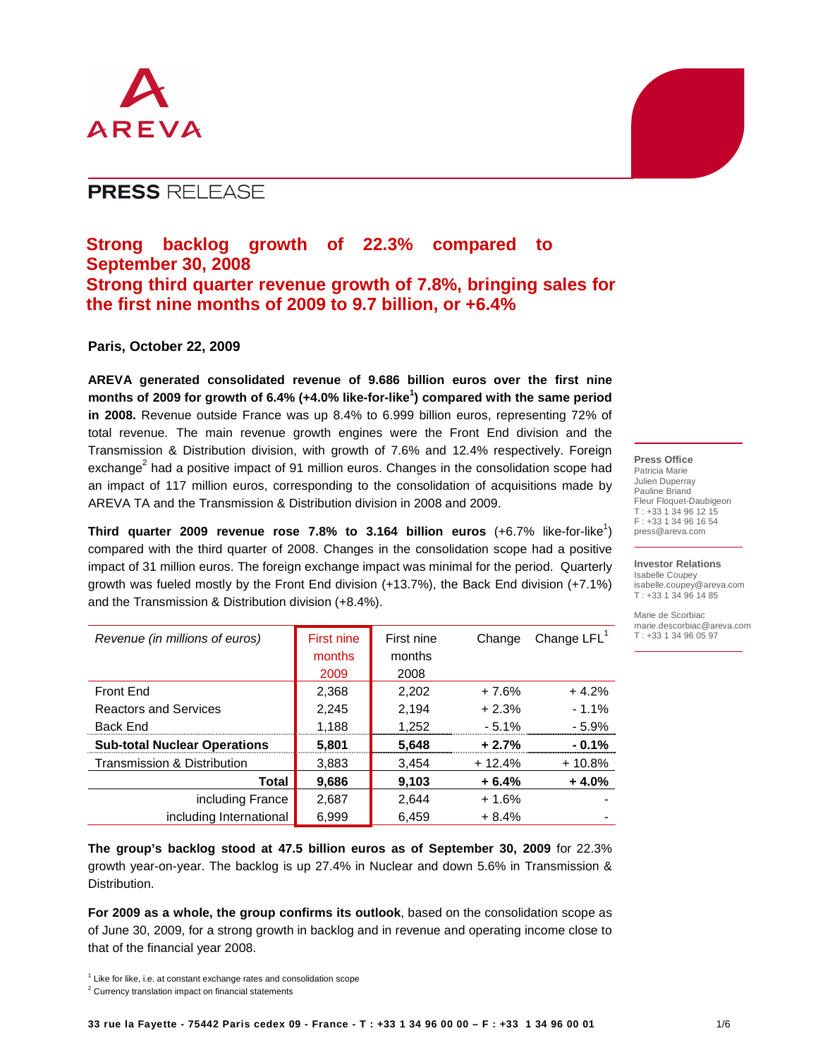

# **PRESS RELEASE**

# **Strong backlog growth of 22.3% compared to September 30, 2008 Strong third quarter revenue growth of 7.8%, bringing sales for the first nine months of 2009 to 9.7 billion, or +6.4%**

# **Paris, October 22, 2009**

**AREVA generated consolidated revenue of 9.686 billion euros over the first nine months of 2009 for growth of 6.4% (+4.0% like-for-like<sup>1</sup> ) compared with the same period in 2008.** Revenue outside France was up 8.4% to 6.999 billion euros, representing 72% of total revenue. The main revenue growth engines were the Front End division and the Transmission & Distribution division, with growth of 7.6% and 12.4% respectively. Foreign exchange<sup>2</sup> had a positive impact of 91 million euros. Changes in the consolidation scope had an impact of 117 million euros, corresponding to the consolidation of acquisitions made by AREVA TA and the Transmission & Distribution division in 2008 and 2009.

**Third quarter 2009 revenue rose 7.8% to 3.164 billion euros**  $(+6.7\%$  like-for-like<sup>1</sup>) compared with the third quarter of 2008. Changes in the consolidation scope had a positive impact of 31 million euros. The foreign exchange impact was minimal for the period. Quarterly growth was fueled mostly by the Front End division (+13.7%), the Back End division (+7.1%) and the Transmission & Distribution division (+8.4%).

| Revenue (in millions of euros)      | First nine | First nine | Change   | Change $LFL1$ |
|-------------------------------------|------------|------------|----------|---------------|
|                                     | months     | months     |          |               |
|                                     | 2009       | 2008       |          |               |
| Front End                           | 2,368      | 2,202      | $+7.6%$  | $+4.2%$       |
| <b>Reactors and Services</b>        | 2,245      | 2,194      | $+2.3%$  | $-1.1\%$      |
| <b>Back End</b>                     | 1,188      | 1,252      | $-5.1%$  | $-5.9%$       |
| <b>Sub-total Nuclear Operations</b> | 5,801      | 5,648      | $+2.7%$  | $-0.1%$       |
| Transmission & Distribution         | 3,883      | 3,454      | $+12.4%$ | $+10.8%$      |
| Total                               | 9,686      | 9,103      | $+6.4%$  | $+4.0%$       |
| including France                    | 2,687      | 2,644      | $+1.6%$  |               |
| including International             | 6,999      | 6.459      | $+8.4%$  |               |

**The group's backlog stood at 47.5 billion euros as of September 30, 2009** for 22.3% growth year-on-year. The backlog is up 27.4% in Nuclear and down 5.6% in Transmission & Distribution.

**For 2009 as a whole, the group confirms its outlook**, based on the consolidation scope as of June 30, 2009, for a strong growth in backlog and in revenue and operating income close to that of the financial year 2008.

**Press Office**  Patricia Marie Julien Duperray Pauline Briand Fleur Floquet-Daubigeon T : +33 1 34 96 12 15 F : +33 1 34 96 16 54 press@areva.com

**Investor Relations**  Isabelle Coupey isabelle.coupey@areva.com T : +33 1 34 96 14 85

Marie de Scorbiac marie.descorbiac@areva.com  $T : +331134960597$ 

 $1$  Like for like, i.e. at constant exchange rates and consolidation scope

<sup>&</sup>lt;sup>2</sup> Currency translation impact on financial statements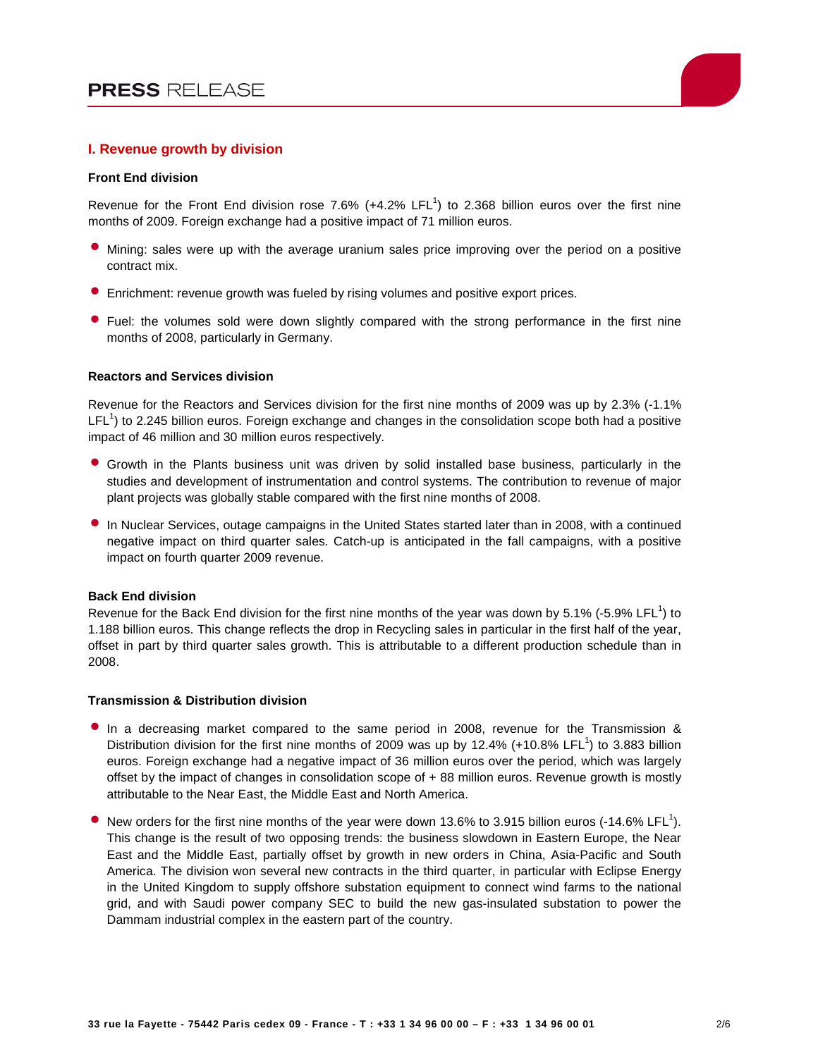

## **I. Revenue growth by division**

### **Front End division**

Revenue for the Front End division rose 7.6% (+4.2% LFL<sup>1</sup>) to 2.368 billion euros over the first nine months of 2009. Foreign exchange had a positive impact of 71 million euros.

- Mining: sales were up with the average uranium sales price improving over the period on a positive contract mix.
- Enrichment: revenue growth was fueled by rising volumes and positive export prices.
- Fuel: the volumes sold were down slightly compared with the strong performance in the first nine months of 2008, particularly in Germany.

#### **Reactors and Services division**

Revenue for the Reactors and Services division for the first nine months of 2009 was up by 2.3% (-1.1%  $LFL<sup>1</sup>$ ) to 2.245 billion euros. Foreign exchange and changes in the consolidation scope both had a positive impact of 46 million and 30 million euros respectively.

- Growth in the Plants business unit was driven by solid installed base business, particularly in the studies and development of instrumentation and control systems. The contribution to revenue of major plant projects was globally stable compared with the first nine months of 2008.
- In Nuclear Services, outage campaigns in the United States started later than in 2008, with a continued negative impact on third quarter sales. Catch-up is anticipated in the fall campaigns, with a positive impact on fourth quarter 2009 revenue.

### **Back End division**

Revenue for the Back End division for the first nine months of the year was down by 5.1% (-5.9% LFL<sup>1</sup>) to 1.188 billion euros. This change reflects the drop in Recycling sales in particular in the first half of the year, offset in part by third quarter sales growth. This is attributable to a different production schedule than in 2008.

#### **Transmission & Distribution division**

- In a decreasing market compared to the same period in 2008, revenue for the Transmission & Distribution division for the first nine months of 2009 was up by 12.4% (+10.8% LFL<sup>1</sup>) to 3.883 billion euros. Foreign exchange had a negative impact of 36 million euros over the period, which was largely offset by the impact of changes in consolidation scope of + 88 million euros. Revenue growth is mostly attributable to the Near East, the Middle East and North America.
- New orders for the first nine months of the year were down 13.6% to 3.915 billion euros (-14.6% LFL<sup>1</sup>). This change is the result of two opposing trends: the business slowdown in Eastern Europe, the Near East and the Middle East, partially offset by growth in new orders in China, Asia-Pacific and South America. The division won several new contracts in the third quarter, in particular with Eclipse Energy in the United Kingdom to supply offshore substation equipment to connect wind farms to the national grid, and with Saudi power company SEC to build the new gas-insulated substation to power the Dammam industrial complex in the eastern part of the country.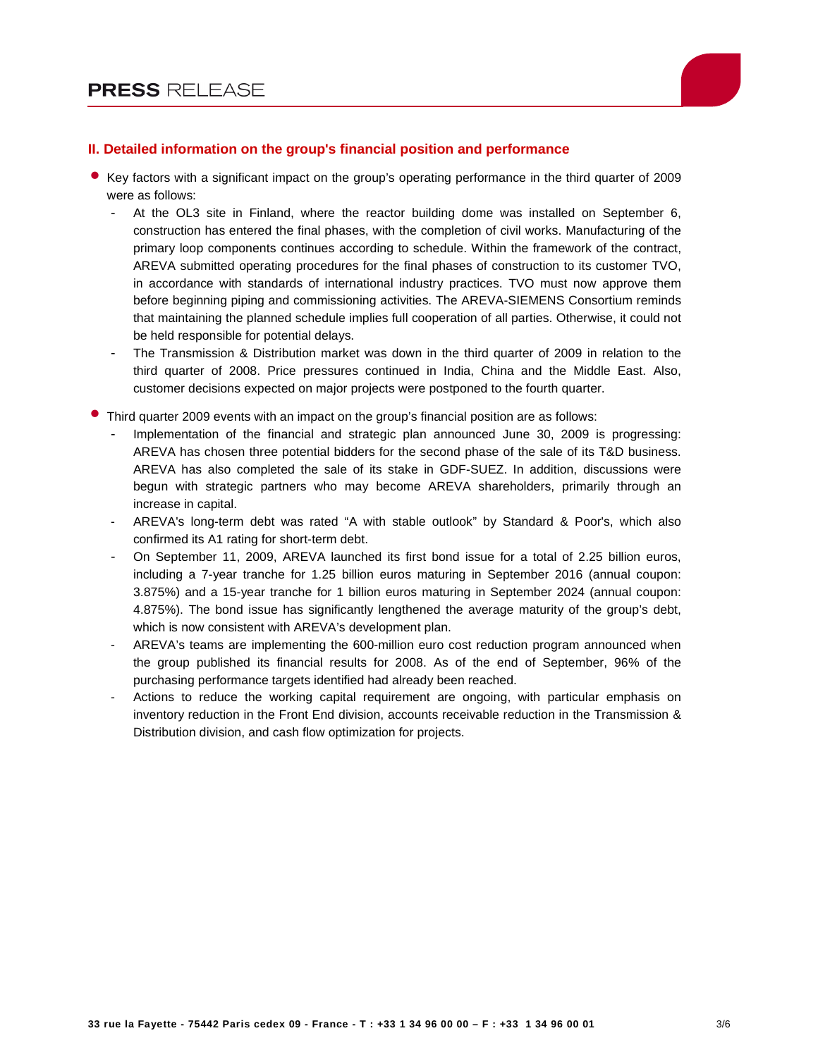

# **II. Detailed information on the group's financial position and performance**

- Key factors with a significant impact on the group's operating performance in the third quarter of 2009 were as follows:
	- At the OL3 site in Finland, where the reactor building dome was installed on September 6, construction has entered the final phases, with the completion of civil works. Manufacturing of the primary loop components continues according to schedule. Within the framework of the contract, AREVA submitted operating procedures for the final phases of construction to its customer TVO, in accordance with standards of international industry practices. TVO must now approve them before beginning piping and commissioning activities. The AREVA-SIEMENS Consortium reminds that maintaining the planned schedule implies full cooperation of all parties. Otherwise, it could not be held responsible for potential delays.
	- The Transmission & Distribution market was down in the third quarter of 2009 in relation to the third quarter of 2008. Price pressures continued in India, China and the Middle East. Also, customer decisions expected on major projects were postponed to the fourth quarter.
- Third quarter 2009 events with an impact on the group's financial position are as follows:
	- Implementation of the financial and strategic plan announced June 30, 2009 is progressing: AREVA has chosen three potential bidders for the second phase of the sale of its T&D business. AREVA has also completed the sale of its stake in GDF-SUEZ. In addition, discussions were begun with strategic partners who may become AREVA shareholders, primarily through an increase in capital.
	- AREVA's long-term debt was rated "A with stable outlook" by Standard & Poor's, which also confirmed its A1 rating for short-term debt.
	- On September 11, 2009, AREVA launched its first bond issue for a total of 2.25 billion euros, including a 7-year tranche for 1.25 billion euros maturing in September 2016 (annual coupon: 3.875%) and a 15-year tranche for 1 billion euros maturing in September 2024 (annual coupon: 4.875%). The bond issue has significantly lengthened the average maturity of the group's debt, which is now consistent with AREVA's development plan.
	- AREVA's teams are implementing the 600-million euro cost reduction program announced when the group published its financial results for 2008. As of the end of September, 96% of the purchasing performance targets identified had already been reached.
	- Actions to reduce the working capital requirement are ongoing, with particular emphasis on inventory reduction in the Front End division, accounts receivable reduction in the Transmission & Distribution division, and cash flow optimization for projects.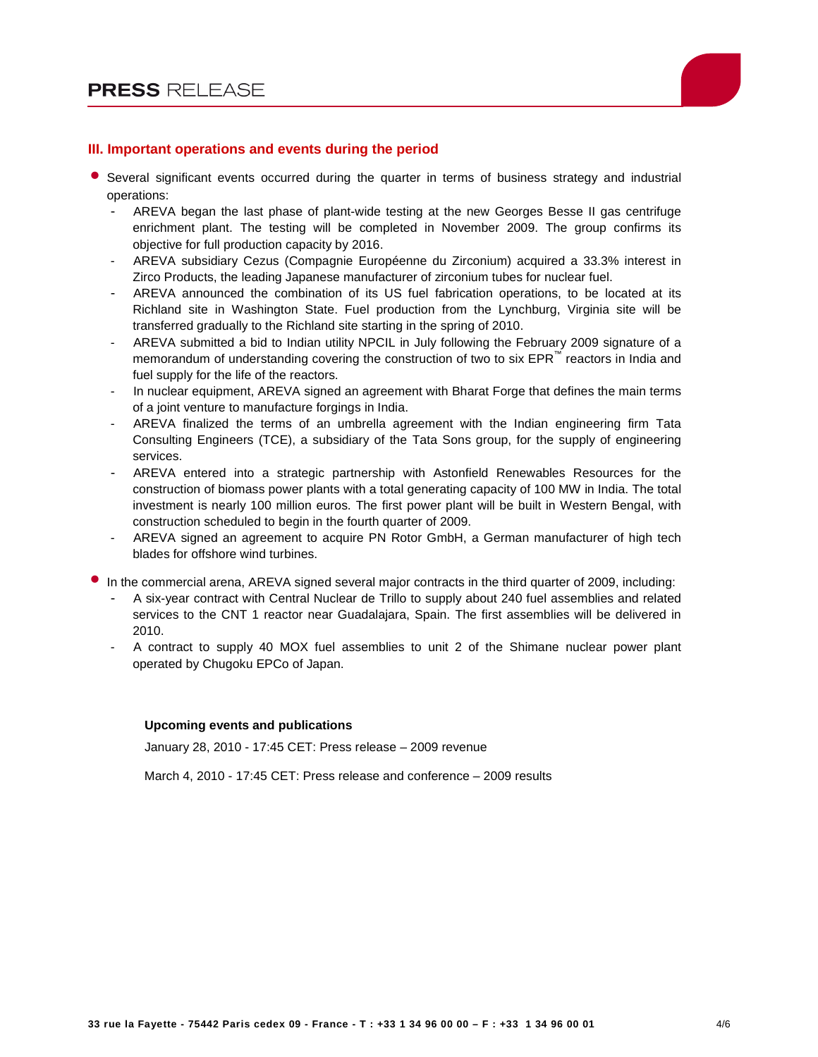

## **III. Important operations and events during the period**

- Several significant events occurred during the quarter in terms of business strategy and industrial operations:
	- AREVA began the last phase of plant-wide testing at the new Georges Besse II gas centrifuge enrichment plant. The testing will be completed in November 2009. The group confirms its objective for full production capacity by 2016.
	- AREVA subsidiary Cezus (Compagnie Européenne du Zirconium) acquired a 33.3% interest in Zirco Products, the leading Japanese manufacturer of zirconium tubes for nuclear fuel.
	- AREVA announced the combination of its US fuel fabrication operations, to be located at its Richland site in Washington State. Fuel production from the Lynchburg, Virginia site will be transferred gradually to the Richland site starting in the spring of 2010.
	- AREVA submitted a bid to Indian utility NPCIL in July following the February 2009 signature of a memorandum of understanding covering the construction of two to six EPR™ reactors in India and fuel supply for the life of the reactors.
	- In nuclear equipment, AREVA signed an agreement with Bharat Forge that defines the main terms of a joint venture to manufacture forgings in India.
	- AREVA finalized the terms of an umbrella agreement with the Indian engineering firm Tata Consulting Engineers (TCE), a subsidiary of the Tata Sons group, for the supply of engineering services.
	- AREVA entered into a strategic partnership with Astonfield Renewables Resources for the construction of biomass power plants with a total generating capacity of 100 MW in India. The total investment is nearly 100 million euros. The first power plant will be built in Western Bengal, with construction scheduled to begin in the fourth quarter of 2009.
	- AREVA signed an agreement to acquire PN Rotor GmbH, a German manufacturer of high tech blades for offshore wind turbines.
- In the commercial arena, AREVA signed several major contracts in the third quarter of 2009, including:
	- A six-year contract with Central Nuclear de Trillo to supply about 240 fuel assemblies and related services to the CNT 1 reactor near Guadalajara, Spain. The first assemblies will be delivered in 2010.
	- A contract to supply 40 MOX fuel assemblies to unit 2 of the Shimane nuclear power plant operated by Chugoku EPCo of Japan.

#### **Upcoming events and publications**

January 28, 2010 - 17:45 CET: Press release – 2009 revenue

March 4, 2010 - 17:45 CET: Press release and conference – 2009 results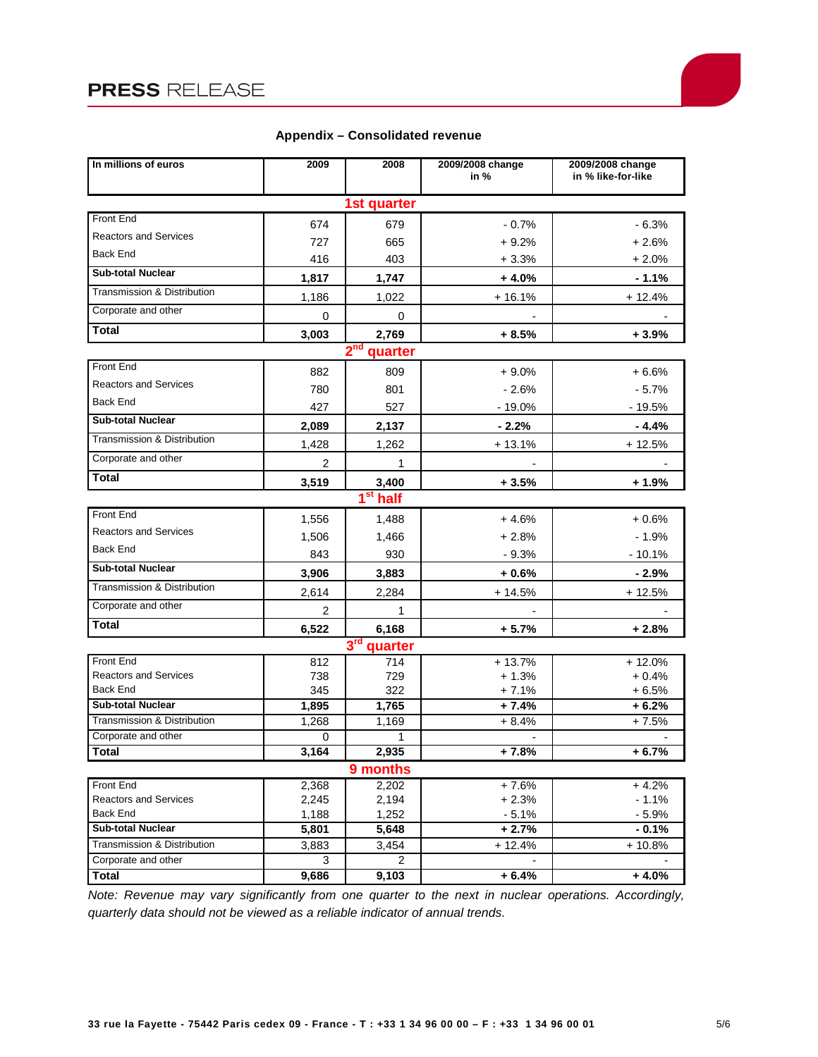# **PRESS RELEASE**

| In millions of euros                               | 2009           | 2008         | 2009/2008 change<br>in % | 2009/2008 change<br>in % like-for-like |  |  |  |  |
|----------------------------------------------------|----------------|--------------|--------------------------|----------------------------------------|--|--|--|--|
| 1st quarter                                        |                |              |                          |                                        |  |  |  |  |
| Front End                                          | 674            | 679          | $-0.7%$                  | $-6.3%$                                |  |  |  |  |
| <b>Reactors and Services</b>                       | 727            | 665          | $+9.2%$                  | $+2.6%$                                |  |  |  |  |
| Back End                                           | 416            | 403          | $+3.3%$                  | $+2.0%$                                |  |  |  |  |
| <b>Sub-total Nuclear</b>                           | 1,817          | 1,747        | $+4.0%$                  | $-1.1%$                                |  |  |  |  |
| Transmission & Distribution                        | 1,186          | 1,022        | $+16.1%$                 | $+12.4%$                               |  |  |  |  |
| Corporate and other                                | $\mathbf 0$    | 0            |                          |                                        |  |  |  |  |
| Total                                              | 3,003          | 2,769        | $+8.5%$                  | + 3.9%                                 |  |  |  |  |
| 2 <sup>nd</sup> quarter                            |                |              |                          |                                        |  |  |  |  |
| <b>Front End</b>                                   | 882            | 809          | $+9.0%$                  | $+6.6%$                                |  |  |  |  |
| <b>Reactors and Services</b>                       | 780            | 801          | $-2.6%$                  | $-5.7%$                                |  |  |  |  |
| <b>Back End</b>                                    | 427            | 527          | $-19.0%$                 | $-19.5%$                               |  |  |  |  |
| <b>Sub-total Nuclear</b>                           | 2,089          | 2,137        | $-2.2%$                  | $-4.4%$                                |  |  |  |  |
| Transmission & Distribution                        | 1,428          | 1,262        | $+13.1%$                 | $+12.5%$                               |  |  |  |  |
| Corporate and other                                | 2              | 1            |                          |                                        |  |  |  |  |
| <b>Total</b>                                       | 3,519          | 3,400        | $+3.5%$                  | $+1.9%$                                |  |  |  |  |
| $1st$ half                                         |                |              |                          |                                        |  |  |  |  |
| Front End                                          | 1,556          | 1,488        | $+4.6%$                  | $+0.6%$                                |  |  |  |  |
| <b>Reactors and Services</b>                       | 1,506          | 1,466        | $+2.8%$                  | $-1.9%$                                |  |  |  |  |
| <b>Back End</b>                                    | 843            | 930          | $-9.3%$                  | $-10.1%$                               |  |  |  |  |
| <b>Sub-total Nuclear</b>                           | 3,906          | 3,883        | $+0.6%$                  | $-2.9%$                                |  |  |  |  |
| Transmission & Distribution                        | 2,614          | 2,284        | $+14.5%$                 | $+12.5%$                               |  |  |  |  |
| Corporate and other                                | $\overline{2}$ | 1            |                          |                                        |  |  |  |  |
| Total                                              | 6,522          | 6,168        | $+5.7%$                  | $+2.8%$                                |  |  |  |  |
| 3rd quarter                                        |                |              |                          |                                        |  |  |  |  |
| <b>Front End</b>                                   | 812            | 714          | $+13.7%$                 | $+12.0%$                               |  |  |  |  |
| <b>Reactors and Services</b><br><b>Back End</b>    | 738            | 729          | $+1.3%$                  | $+0.4%$                                |  |  |  |  |
| <b>Sub-total Nuclear</b>                           | 345<br>1,895   | 322<br>1,765 | $+7.1%$<br>$+7.4%$       | $+6.5%$<br>$+6.2%$                     |  |  |  |  |
| Transmission & Distribution                        | 1,268          | 1,169        | $+8.4%$                  | $+7.5%$                                |  |  |  |  |
| Corporate and other                                | 0              | 1            |                          |                                        |  |  |  |  |
| <b>Total</b>                                       | 3.164          | 2,935        | $+7.8%$                  | $+6.7%$                                |  |  |  |  |
| 9 months                                           |                |              |                          |                                        |  |  |  |  |
| Front End                                          | 2,368          | 2,202        | $+7.6%$                  | $+4.2%$                                |  |  |  |  |
| <b>Reactors and Services</b>                       | 2,245          | 2,194        | $+2.3%$                  | $-1.1%$                                |  |  |  |  |
| Back End                                           | 1,188          | 1,252        | $-5.1%$                  | $-5.9%$                                |  |  |  |  |
| <b>Sub-total Nuclear</b>                           | 5,801          | 5,648        | $+2.7%$                  | $-0.1%$                                |  |  |  |  |
| Transmission & Distribution<br>Corporate and other | 3,883          | 3,454<br>2   | $+12.4%$                 | + 10.8%                                |  |  |  |  |
| Total                                              | 3<br>9,686     | 9,103        | $+6.4%$                  | $+4.0%$                                |  |  |  |  |
|                                                    |                |              |                          |                                        |  |  |  |  |

# **Appendix – Consolidated revenue**

Note: Revenue may vary significantly from one quarter to the next in nuclear operations. Accordingly, quarterly data should not be viewed as a reliable indicator of annual trends.